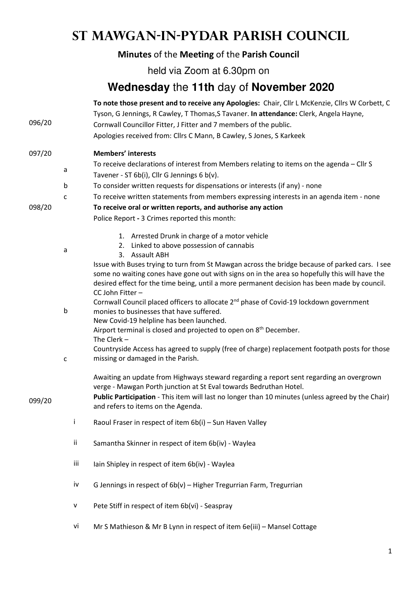# **St Mawgan-in-Pydar Parish Council**

## **Minutes** of the **Meeting** of the **Parish Council**

held via Zoom at 6.30pm on

## **Wednesday** the **11th** day of **November 2020**

| 096/20 |              | To note those present and to receive any Apologies: Chair, Cllr L McKenzie, Cllrs W Corbett, C<br>Tyson, G Jennings, R Cawley, T Thomas, S Tavaner. In attendance: Clerk, Angela Hayne,<br>Cornwall Councillor Fitter, J Fitter and 7 members of the public.<br>Apologies received from: Cllrs C Mann, B Cawley, S Jones, S Karkeek |
|--------|--------------|-------------------------------------------------------------------------------------------------------------------------------------------------------------------------------------------------------------------------------------------------------------------------------------------------------------------------------------|
| 097/20 |              | <b>Members' interests</b>                                                                                                                                                                                                                                                                                                           |
|        | a            | To receive declarations of interest from Members relating to items on the agenda - Cllr S<br>Tavener - ST 6b(i), Cllr G Jennings 6 b(v).                                                                                                                                                                                            |
|        | b            | To consider written requests for dispensations or interests (if any) - none                                                                                                                                                                                                                                                         |
|        | C            | To receive written statements from members expressing interests in an agenda item - none                                                                                                                                                                                                                                            |
| 098/20 |              | To receive oral or written reports, and authorise any action                                                                                                                                                                                                                                                                        |
|        |              | Police Report - 3 Crimes reported this month:                                                                                                                                                                                                                                                                                       |
|        |              | 1. Arrested Drunk in charge of a motor vehicle                                                                                                                                                                                                                                                                                      |
|        | a            | 2. Linked to above possession of cannabis                                                                                                                                                                                                                                                                                           |
|        |              | 3. Assault ABH<br>Issue with Buses trying to turn from St Mawgan across the bridge because of parked cars. I see                                                                                                                                                                                                                    |
|        |              | some no waiting cones have gone out with signs on in the area so hopefully this will have the<br>desired effect for the time being, until a more permanent decision has been made by council.<br>CC John Fitter -                                                                                                                   |
|        |              | Cornwall Council placed officers to allocate 2 <sup>nd</sup> phase of Covid-19 lockdown government                                                                                                                                                                                                                                  |
|        | b            | monies to businesses that have suffered.                                                                                                                                                                                                                                                                                            |
|        |              | New Covid-19 helpline has been launched.<br>Airport terminal is closed and projected to open on 8 <sup>th</sup> December.                                                                                                                                                                                                           |
|        |              | The Clerk $-$                                                                                                                                                                                                                                                                                                                       |
|        |              | Countryside Access has agreed to supply (free of charge) replacement footpath posts for those                                                                                                                                                                                                                                       |
|        | $\mathsf{C}$ | missing or damaged in the Parish.                                                                                                                                                                                                                                                                                                   |
|        |              | Awaiting an update from Highways steward regarding a report sent regarding an overgrown<br>verge - Mawgan Porth junction at St Eval towards Bedruthan Hotel.                                                                                                                                                                        |
| 099/20 |              | Public Participation - This item will last no longer than 10 minutes (unless agreed by the Chair)<br>and refers to items on the Agenda.                                                                                                                                                                                             |
|        | Ť            | Raoul Fraser in respect of item 6b(i) - Sun Haven Valley                                                                                                                                                                                                                                                                            |
|        | ii           | Samantha Skinner in respect of item 6b(iv) - Waylea                                                                                                                                                                                                                                                                                 |
|        | iii          | Iain Shipley in respect of item 6b(iv) - Waylea                                                                                                                                                                                                                                                                                     |
|        | iv           | G Jennings in respect of 6b(v) - Higher Tregurrian Farm, Tregurrian                                                                                                                                                                                                                                                                 |
|        | V            | Pete Stiff in respect of item 6b(vi) - Seaspray                                                                                                                                                                                                                                                                                     |
|        | vi           | Mr S Mathieson & Mr B Lynn in respect of item 6e(iii) - Mansel Cottage                                                                                                                                                                                                                                                              |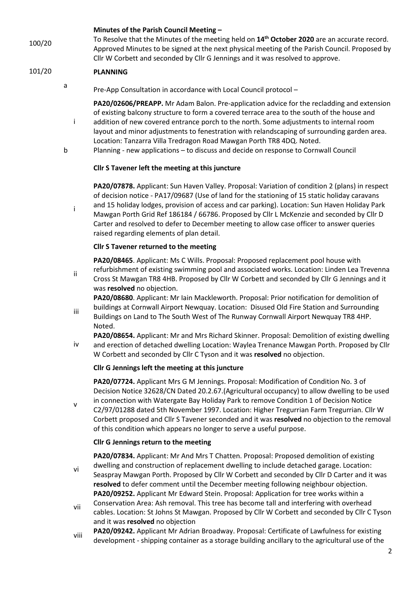#### **Minutes of the Parish Council Meeting –**

100/20 To Resolve that the Minutes of the meeting held on **14th October 2020** are an accurate record. Approved Minutes to be signed at the next physical meeting of the Parish Council. Proposed by Cllr W Corbett and seconded by Cllr G Jennings and it was resolved to approve.

### 101/20 **PLANNING**

a

i

ii

Pre-App Consultation in accordance with Local Council protocol –

**PA20/02606/PREAPP.** Mr Adam Balon. Pre-application advice for the recladding and extension of existing balcony structure to form a covered terrace area to the south of the house and

- i addition of new covered entrance porch to the north. Some adjustments to internal room layout and minor adjustments to fenestration with relandscaping of surrounding garden area. Location: Tanzarra Villa Tredragon Road Mawgan Porth TR8 4DQ. Noted.
- b Planning new applications to discuss and decide on response to Cornwall Council

#### **Cllr S Tavener left the meeting at this juncture**

**PA20/07878.** Applicant: Sun Haven Valley. Proposal: Variation of condition 2 (plans) in respect of decision notice - PA17/09687 (Use of land for the stationing of 15 static holiday caravans and 15 holiday lodges, provision of access and car parking). Location: Sun Haven Holiday Park Mawgan Porth Grid Ref 186184 / 66786. Proposed by Cllr L McKenzie and seconded by Cllr D Carter and resolved to defer to December meeting to allow case officer to answer queries

## raised regarding elements of plan detail. **Cllr S Tavener returned to the meeting**

**PA20/08465**. Applicant: Ms C Wills. Proposal: Proposed replacement pool house with refurbishment of existing swimming pool and associated works. Location: Linden Lea Trevenna Cross St Mawgan TR8 4HB. Proposed by Cllr W Corbett and seconded by Cllr G Jennings and it

was **resolved** no objection. **PA20/08680**. Applicant: Mr Iain Mackleworth. Proposal: Prior notification for demolition of

iii buildings at Cornwall Airport Newquay. Location: Disused Old Fire Station and Surrounding Buildings on Land to The South West of The Runway Cornwall Airport Newquay TR8 4HP. Noted.

iv **PA20/08654.** Applicant: Mr and Mrs Richard Skinner. Proposal: Demolition of existing dwelling and erection of detached dwelling Location: Waylea Trenance Mawgan Porth. Proposed by Cllr W Corbett and seconded by Cllr C Tyson and it was **resolved** no objection.

#### **Cllr G Jennings left the meeting at this juncture**

**PA20/07724.** Applicant Mrs G M Jennings. Proposal: Modification of Condition No. 3 of Decision Notice 32628/CN Dated 20.2.67.(Agricultural occupancy) to allow dwelling to be used

v in connection with Watergate Bay Holiday Park to remove Condition 1 of Decision Notice C2/97/01288 dated 5th November 1997. Location: Higher Tregurrian Farm Tregurrian. Cllr W Corbett proposed and Cllr S Tavener seconded and it was **resolved** no objection to the removal of this condition which appears no longer to serve a useful purpose.

#### **Cllr G Jennings return to the meeting**

vi **PA20/07834.** Applicant: Mr And Mrs T Chatten. Proposal: Proposed demolition of existing dwelling and construction of replacement dwelling to include detached garage. Location: Seaspray Mawgan Porth. Proposed by Cllr W Corbett and seconded by Cllr D Carter and it was **resolved** to defer comment until the December meeting following neighbour objection. **PA20/09252.** Applicant Mr Edward Stein. Proposal: Application for tree works within a

- vii Conservation Area: Ash removal. This tree has become tall and interfering with overhead cables. Location: St Johns St Mawgan. Proposed by Cllr W Corbett and seconded by Cllr C Tyson and it was **resolved** no objection
- viii **PA20/09242.** Applicant Mr Adrian Broadway. Proposal: Certificate of Lawfulness for existing development - shipping container as a storage building ancillary to the agricultural use of the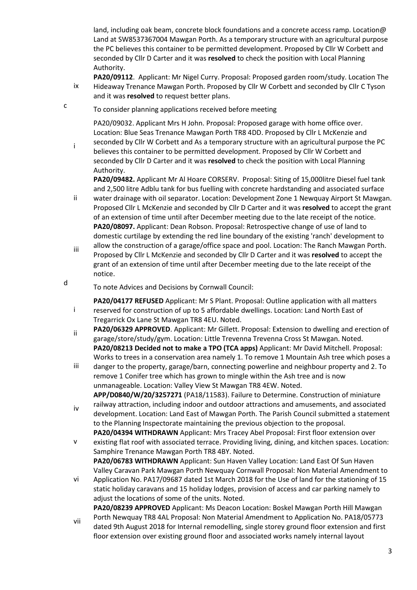land, including oak beam, concrete block foundations and a concrete access ramp. Location@ Land at SW8537367004 Mawgan Porth. As a temporary structure with an agricultural purpose the PC believes this container to be permitted development. Proposed by Cllr W Corbett and seconded by Cllr D Carter and it was **resolved** to check the position with Local Planning Authority.

- ix **PA20/09112**. Applicant: Mr Nigel Curry. Proposal: Proposed garden room/study. Location The Hideaway Trenance Mawgan Porth. Proposed by Cllr W Corbett and seconded by Cllr C Tyson and it was **resolved** to request better plans.
- To consider planning applications received before meeting

c

d

i

PA20/09032. Applicant Mrs H John. Proposal: Proposed garage with home office over. Location: Blue Seas Trenance Mawgan Porth TR8 4DD. Proposed by Cllr L McKenzie and seconded by Cllr W Corbett and As a temporary structure with an agricultural purpose the PC

i believes this container to be permitted development. Proposed by Cllr W Corbett and seconded by Cllr D Carter and it was **resolved** to check the position with Local Planning Authority.

**PA20/09482.** Applicant Mr Al Hoare CORSERV. Proposal: Siting of 15,000litre Diesel fuel tank and 2,500 litre Adblu tank for bus fuelling with concrete hardstanding and associated surface

- ii water drainage with oil separator. Location: Development Zone 1 Newquay Airport St Mawgan. Proposed Cllr L McKenzie and seconded by Cllr D Carter and it was **resolved** to accept the grant of an extension of time until after December meeting due to the late receipt of the notice. **PA20/08097.** Applicant: Dean Robson. Proposal: Retrospective change of use of land to domestic curtilage by extending the red line boundary of the existing 'ranch' development to
- iii allow the construction of a garage/office space and pool. Location: The Ranch Mawgan Porth. Proposed by Cllr L McKenzie and seconded by Cllr D Carter and it was **resolved** to accept the grant of an extension of time until after December meeting due to the late receipt of the notice.
- To note Advices and Decisions by Cornwall Council:

**PA20/04177 REFUSED** Applicant: Mr S Plant. Proposal: Outline application with all matters reserved for construction of up to 5 affordable dwellings. Location: Land North East of Tregarrick Ox Lane St Mawgan TR8 4EU. Noted.

- ii **PA20/06329 APPROVED**. Applicant: Mr Gillett. Proposal: Extension to dwelling and erection of garage/store/study/gym. Location: Little Trevenna Trevenna Cross St Mawgan. Noted. **PA20/08213 Decided not to make a TPO (TCA apps)** Applicant: Mr David Mitchell. Proposal: Works to trees in a conservation area namely 1. To remove 1 Mountain Ash tree which poses a
- iii danger to the property, garage/barn, connecting powerline and neighbour property and 2. To remove 1 Conifer tree which has grown to mingle within the Ash tree and is now unmanageable. Location: Valley View St Mawgan TR8 4EW. Noted. **APP/D0840/W/20/3257271** (PA18/11583). Failure to Determine. Construction of miniature
- iv railway attraction, including indoor and outdoor attractions and amusements, and associated development. Location: Land East of Mawgan Porth. The Parish Council submitted a statement to the Planning Inspectorate maintaining the previous objection to the proposal. **PA20/04394 WITHDRAWN** Applicant: Mrs Tracey Abel Proposal: First floor extension over
- v existing flat roof with associated terrace. Providing living, dining, and kitchen spaces. Location: Samphire Trenance Mawgan Porth TR8 4BY. Noted. **PA20/06783 WITHDRAWN** Applicant: Sun Haven Valley Location: Land East Of Sun Haven Valley Caravan Park Mawgan Porth Newquay Cornwall Proposal: Non Material Amendment to
- vi Application No. PA17/09687 dated 1st March 2018 for the Use of land for the stationing of 15 static holiday caravans and 15 holiday lodges, provision of access and car parking namely to adjust the locations of some of the units. Noted. **PA20/08239 APPROVED** Applicant: Ms Deacon Location: Boskel Mawgan Porth Hill Mawgan
- vii Porth Newquay TR8 4AL Proposal: Non Material Amendment to Application No. PA18/05773 dated 9th August 2018 for Internal remodelling, single storey ground floor extension and first floor extension over existing ground floor and associated works namely internal layout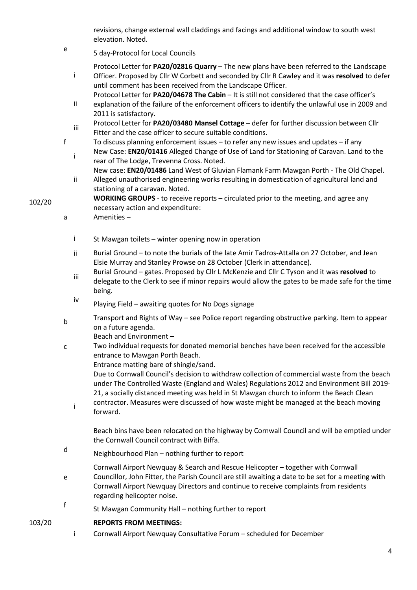revisions, change external wall claddings and facings and additional window to south west elevation. Noted.

e 5 day-Protocol for Local Councils

Protocol Letter for **PA20/02816 Quarry** – The new plans have been referred to the Landscape

- i Officer. Proposed by Cllr W Corbett and seconded by Cllr R Cawley and it was **resolved** to defer until comment has been received from the Landscape Officer.
- Protocol Letter for **PA20/04678 The Cabin** It is still not considered that the case officer's
- ii explanation of the failure of the enforcement officers to identify the unlawful use in 2009 and 2011 is satisfactory.
- iii Protocol Letter for **PA20/03480 Mansel Cottage –** defer for further discussion between Cllr Fitter and the case officer to secure suitable conditions.
- f To discuss planning enforcement issues to refer any new issues and updates if any **i**New Case: **EN20/01416** Alleged Change of Use of Land for Stationing of Caravan. Land to the
	- rear of The Lodge, Trevenna Cross. Noted. New case: **EN20/01486** Land West of Gluvian Flamank Farm Mawgan Porth - The Old Chapel.
	- ii Alleged unauthorised engineering works resulting in domestication of agricultural land and stationing of a caravan. Noted.
- **WORKING GROUPS** to receive reports circulated prior to the meeting, and agree any necessary action and expenditure:
	- a Amenities
		- i St Mawgan toilets winter opening now in operation
		- ii Burial Ground to note the burials of the late Amir Tadros-Attalla on 27 October, and Jean Elsie Murray and Stanley Prowse on 28 October (Clerk in attendance).
		- iii Burial Ground – gates. Proposed by Cllr L McKenzie and Cllr C Tyson and it was **resolved** to delegate to the Clerk to see if minor repairs would allow the gates to be made safe for the time being.
		- iv Playing Field – awaiting quotes for No Dogs signage
	- <sup>b</sup> Transport and Rights of Way see Police report regarding obstructive parking. Item to appear on a future agenda.

Beach and Environment –

- c Two individual requests for donated memorial benches have been received for the accessible entrance to Mawgan Porth Beach.
	- Entrance matting bare of shingle/sand.

Due to Cornwall Council's decision to withdraw collection of commercial waste from the beach under The Controlled Waste (England and Wales) Regulations 2012 and Environment Bill 2019- 21, a socially distanced meeting was held in St Mawgan church to inform the Beach Clean contractor. Measures were discussed of how waste might be managed at the beach moving

i forward.

Beach bins have been relocated on the highway by Cornwall Council and will be emptied under the Cornwall Council contract with Biffa.

- d Neighbourhood Plan – nothing further to report
- e Cornwall Airport Newquay & Search and Rescue Helicopter – together with Cornwall Councillor, John Fitter, the Parish Council are still awaiting a date to be set for a meeting with Cornwall Airport Newquay Directors and continue to receive complaints from residents regarding helicopter noise.
- f St Mawgan Community Hall – nothing further to report

### 103/20 **REPORTS FROM MEETINGS:**

i Cornwall Airport Newquay Consultative Forum – scheduled for December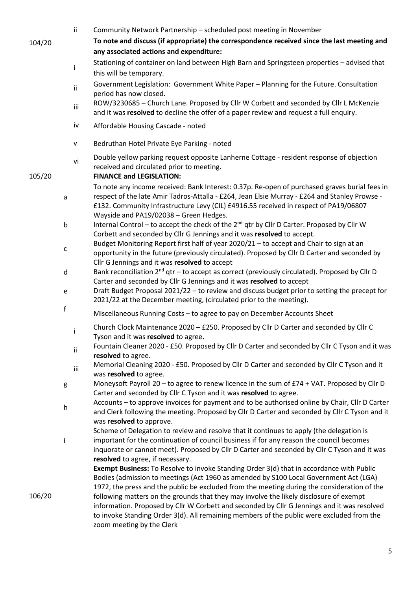|        |              | ii.<br>Community Network Partnership - scheduled post meeting in November                                                                                                                                                                                                                                                                                                                                                                                                                                     |
|--------|--------------|---------------------------------------------------------------------------------------------------------------------------------------------------------------------------------------------------------------------------------------------------------------------------------------------------------------------------------------------------------------------------------------------------------------------------------------------------------------------------------------------------------------|
| 104/20 |              | To note and discuss (if appropriate) the correspondence received since the last meeting and                                                                                                                                                                                                                                                                                                                                                                                                                   |
|        |              | any associated actions and expenditure:                                                                                                                                                                                                                                                                                                                                                                                                                                                                       |
|        |              | Stationing of container on land between High Barn and Springsteen properties - advised that                                                                                                                                                                                                                                                                                                                                                                                                                   |
|        | ÷            | this will be temporary.                                                                                                                                                                                                                                                                                                                                                                                                                                                                                       |
|        |              | Government Legislation: Government White Paper - Planning for the Future. Consultation<br>ii<br>period has now closed.                                                                                                                                                                                                                                                                                                                                                                                        |
|        |              | ROW/3230685 - Church Lane. Proposed by Cllr W Corbett and seconded by Cllr L McKenzie<br>iii<br>and it was resolved to decline the offer of a paper review and request a full enquiry.                                                                                                                                                                                                                                                                                                                        |
|        |              | iv<br>Affordable Housing Cascade - noted                                                                                                                                                                                                                                                                                                                                                                                                                                                                      |
|        |              | V<br>Bedruthan Hotel Private Eye Parking - noted                                                                                                                                                                                                                                                                                                                                                                                                                                                              |
| 105/20 |              | Double yellow parking request opposite Lanherne Cottage - resident response of objection<br>vi<br>received and circulated prior to meeting.<br><b>FINANCE and LEGISLATION:</b>                                                                                                                                                                                                                                                                                                                                |
|        | a            | To note any income received: Bank Interest: 0.37p. Re-open of purchased graves burial fees in<br>respect of the late Amir Tadros-Attalla - £264, Jean Elsie Murray - £264 and Stanley Prowse -<br>£132. Community Infrastructure Levy (CIL) £4916.55 received in respect of PA19/06807<br>Wayside and PA19/02038 - Green Hedges.                                                                                                                                                                              |
|        | b            | Internal Control – to accept the check of the $2^{nd}$ qtr by Cllr D Carter. Proposed by Cllr W<br>Corbett and seconded by Cllr G Jennings and it was resolved to accept.                                                                                                                                                                                                                                                                                                                                     |
|        | $\mathsf{C}$ | Budget Monitoring Report first half of year 2020/21 - to accept and Chair to sign at an<br>opportunity in the future (previously circulated). Proposed by Cllr D Carter and seconded by<br>Cllr G Jennings and it was resolved to accept                                                                                                                                                                                                                                                                      |
|        | d            | Bank reconciliation 2 <sup>nd</sup> qtr - to accept as correct (previously circulated). Proposed by Cllr D<br>Carter and seconded by Cllr G Jennings and it was resolved to accept                                                                                                                                                                                                                                                                                                                            |
|        | e            | Draft Budget Proposal 2021/22 - to review and discuss budget prior to setting the precept for<br>2021/22 at the December meeting, (circulated prior to the meeting).                                                                                                                                                                                                                                                                                                                                          |
|        | $\mathsf f$  | Miscellaneous Running Costs - to agree to pay on December Accounts Sheet                                                                                                                                                                                                                                                                                                                                                                                                                                      |
|        | Ť            | Church Clock Maintenance 2020 - £250. Proposed by Cllr D Carter and seconded by Cllr C<br>Tyson and it was resolved to agree.                                                                                                                                                                                                                                                                                                                                                                                 |
|        |              | Fountain Cleaner 2020 - £50. Proposed by Cllr D Carter and seconded by Cllr C Tyson and it was<br>ii<br>resolved to agree.                                                                                                                                                                                                                                                                                                                                                                                    |
|        |              | Memorial Cleaning 2020 - £50. Proposed by Cllr D Carter and seconded by Cllr C Tyson and it<br>iii<br>was resolved to agree.                                                                                                                                                                                                                                                                                                                                                                                  |
|        | g            | Moneysoft Payroll 20 - to agree to renew licence in the sum of £74 + VAT. Proposed by Cllr D<br>Carter and seconded by Cllr C Tyson and it was resolved to agree.                                                                                                                                                                                                                                                                                                                                             |
|        | $\mathsf{h}$ | Accounts - to approve invoices for payment and to be authorised online by Chair, Cllr D Carter<br>and Clerk following the meeting. Proposed by Cllr D Carter and seconded by Cllr C Tyson and it<br>was resolved to approve.                                                                                                                                                                                                                                                                                  |
|        | i            | Scheme of Delegation to review and resolve that it continues to apply (the delegation is<br>important for the continuation of council business if for any reason the council becomes<br>inquorate or cannot meet). Proposed by Cllr D Carter and seconded by Cllr C Tyson and it was                                                                                                                                                                                                                          |
| 106/20 |              | resolved to agree, if necessary.<br>Exempt Business: To Resolve to invoke Standing Order 3(d) that in accordance with Public<br>Bodies (admission to meetings (Act 1960 as amended by S100 Local Government Act (LGA)<br>1972, the press and the public be excluded from the meeting during the consideration of the<br>following matters on the grounds that they may involve the likely disclosure of exempt<br>information. Proposed by Cllr W Corbett and seconded by Cllr G Jennings and it was resolved |
|        |              | to invoke Standing Order 3(d). All remaining members of the public were excluded from the<br>zoom meeting by the Clerk                                                                                                                                                                                                                                                                                                                                                                                        |